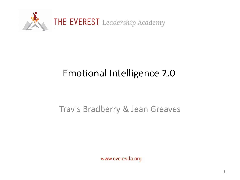

## Emotional Intelligence 2.0

#### Travis Bradberry & Jean Greaves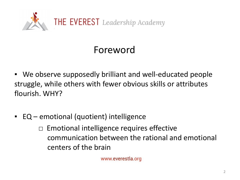

## Foreword

- We observe supposedly brilliant and well-educated people struggle, while others with fewer obvious skills or attributes flourish. WHY?
- EQ emotional (quotient) intelligence

Emotional intelligence requires effective communication between the rational and emotional centers of the brain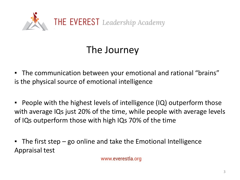

## The Journey

- The communication between your emotional and rational "brains" is the physical source of emotional intelligence
- People with the highest levels of intelligence (IQ) outperform those with average IQs just 20% of the time, while people with average levels of IQs outperform those with high IQs 70% of the time
- $\blacksquare$  The first step go online and take the Emotional Intelligence Appraisal test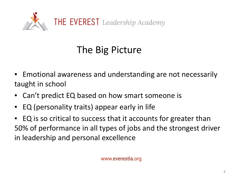

# The Big Picture

- Emotional awareness and understanding are not necessarily taught in school
- Can't predict EQ based on how smart someone is
- EQ (personality traits) appear early in life
- EQ is so critical to success that it accounts for greater than 50% of performance in all types of jobs and the strongest driver in leadership and personal excellence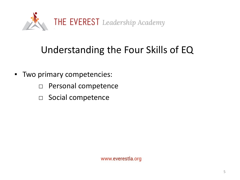

## Understanding the Four Skills of EQ

- Two primary competencies:
	- □ Personal competence
	- □ Social competence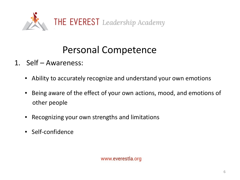

## Personal Competence

- 1. Self Awareness:
	- Ability to accurately recognize and understand your own emotions
	- Being aware of the effect of your own actions, mood, and emotions of other people
	- Recognizing your own strengths and limitations
	- Self-confidence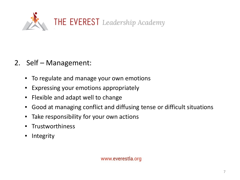

- 2. Self Management:
	- **To regulate and manage your own emotions**
	- Expressing your emotions appropriately
	- Flexible and adapt well to change
	- Good at managing conflict and diffusing tense or difficult situations
	- Take responsibility for your own actions
	- Trustworthiness
	- **Integrity**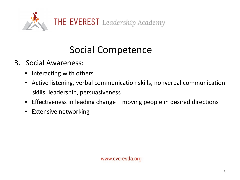

## Social Competence

- 3. Social Awareness:
	- Interacting with others
	- **EXTENT Active listening, verbal communication skills, nonverbal communication** skills, leadership, persuasiveness
	- Effectiveness in leading change moving people in desired directions
	- Extensive networking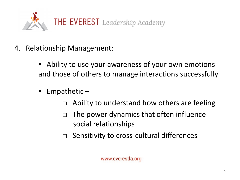

- 4. Relationship Management:
	- **EXE** Ability to use your awareness of your own emotions and those of others to manage interactions successfully
	- Empathetic  $-$ 
		- $\Box$  Ability to understand how others are feeling
		- $\Box$  The power dynamics that often influence social relationships
		- □ Sensitivity to cross-cultural differences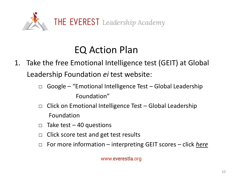

## EQ Action Plan

- 1. Take the free Emotional Intelligence test (GEIT) at Global Leadership Foundation *ei* test website:
	- $\Box$  Google "Emotional Intelligence Test Global Leadership Foundation"
	- $\Box$  Click on Emotional Intelligence Test Global Leadership Foundation
	- $\Box$  Take test 40 questions
	- $\Box$  Click score test and get test results
	- □ For more information interpreting GEIT scores click *here*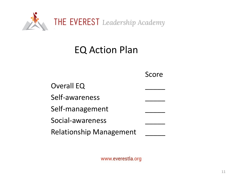

## EQ Action Plan

|                                | Score |
|--------------------------------|-------|
| <b>Overall EQ</b>              |       |
| Self-awareness                 |       |
| Self-management                |       |
| Social-awareness               |       |
| <b>Relationship Management</b> |       |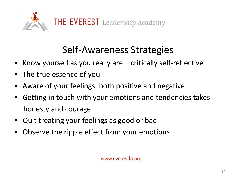

## Self-Awareness Strategies

- Know yourself as you really are critically self-reflective
- The true essence of you
- Aware of your feelings, both positive and negative
- Getting in touch with your emotions and tendencies takes honesty and courage
- Quit treating your feelings as good or bad
- Observe the ripple effect from your emotions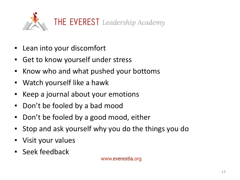

- Lean into your discomfort
- Get to know yourself under stress
- Know who and what pushed your bottoms
- Watch yourself like a hawk
- Keep a journal about your emotions
- Don't be fooled by a bad mood
- Don't be fooled by a good mood, either
- Stop and ask yourself why you do the things you do
- Visit your values
- Seek feedback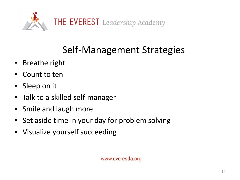

## Self-Management Strategies

- Breathe right
- Count to ten
- Sleep on it
- Talk to a skilled self-manager
- Smile and laugh more
- Set aside time in your day for problem solving
- Visualize yourself succeeding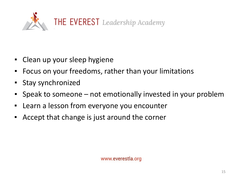

- Clean up your sleep hygiene
- Focus on your freedoms, rather than your limitations
- Stay synchronized
- Speak to someone not emotionally invested in your problem
- Learn a lesson from everyone you encounter
- Accept that change is just around the corner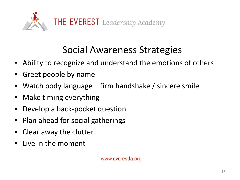

## Social Awareness Strategies

- Ability to recognize and understand the emotions of others
- Greet people by name
- Watch body language firm handshake / sincere smile
- Make timing everything
- Develop a back-pocket question
- Plan ahead for social gatherings
- Clear away the clutter
- Live in the moment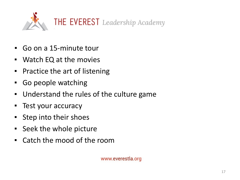

- Go on a 15-minute tour
- Watch EQ at the movies
- Practice the art of listening
- Go people watching
- Understand the rules of the culture game
- Test your accuracy
- Step into their shoes
- Seek the whole picture
- Catch the mood of the room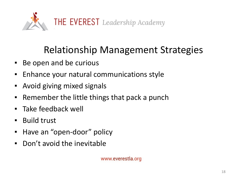

## Relationship Management Strategies

- Be open and be curious
- Enhance your natural communications style
- Avoid giving mixed signals
- Remember the little things that pack a punch
- Take feedback well
- Build trust
- Have an "open-door" policy
- Don't avoid the inevitable